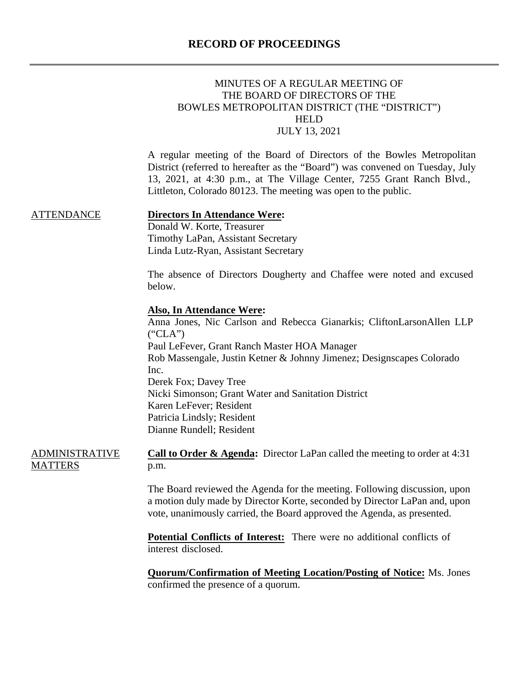## MINUTES OF A REGULAR MEETING OF THE BOARD OF DIRECTORS OF THE BOWLES METROPOLITAN DISTRICT (THE "DISTRICT") HELD JULY 13, 2021

A regular meeting of the Board of Directors of the Bowles Metropolitan District (referred to hereafter as the "Board") was convened on Tuesday, July 13, 2021, at 4:30 p.m., at The Village Center, 7255 Grant Ranch Blvd., Littleton, Colorado 80123. The meeting was open to the public.

ATTENDANCE

#### **Directors In Attendance Were:**

Donald W. Korte, Treasurer Timothy LaPan, Assistant Secretary Linda Lutz-Ryan, Assistant Secretary

The absence of Directors Dougherty and Chaffee were noted and excused below.

#### **Also, In Attendance Were:**

Anna Jones, Nic Carlson and Rebecca Gianarkis; CliftonLarsonAllen LLP  $("CLA")$ Paul LeFever, Grant Ranch Master HOA Manager Rob Massengale, Justin Ketner & Johnny Jimenez; Designscapes Colorado Inc. Derek Fox; Davey Tree Nicki Simonson; Grant Water and Sanitation District Karen LeFever; Resident Patricia Lindsly; Resident Dianne Rundell; Resident

ADMINISTRATIVE **MATTERS Call to Order & Agenda:** Director LaPan called the meeting to order at 4:31 p.m.

> The Board reviewed the Agenda for the meeting. Following discussion, upon a motion duly made by Director Korte, seconded by Director LaPan and, upon vote, unanimously carried, the Board approved the Agenda, as presented.

**Potential Conflicts of Interest:** There were no additional conflicts of interest disclosed.

**Quorum/Confirmation of Meeting Location/Posting of Notice:** Ms. Jones confirmed the presence of a quorum.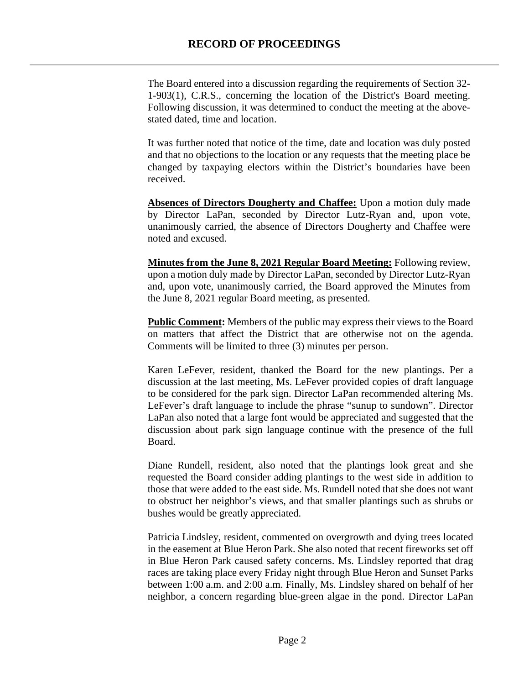The Board entered into a discussion regarding the requirements of Section 32- 1-903(1), C.R.S., concerning the location of the District's Board meeting. Following discussion, it was determined to conduct the meeting at the abovestated dated, time and location.

It was further noted that notice of the time, date and location was duly posted and that no objections to the location or any requests that the meeting place be changed by taxpaying electors within the District's boundaries have been received.

Absences of Directors Dougherty and Chaffee: Upon a motion duly made by Director LaPan, seconded by Director Lutz-Ryan and, upon vote, unanimously carried, the absence of Directors Dougherty and Chaffee were noted and excused.

**Minutes from the June 8, 2021 Regular Board Meeting:** Following review, upon a motion duly made by Director LaPan, seconded by Director Lutz-Ryan and, upon vote, unanimously carried, the Board approved the Minutes from the June 8, 2021 regular Board meeting, as presented.

**Public Comment:** Members of the public may express their views to the Board on matters that affect the District that are otherwise not on the agenda. Comments will be limited to three (3) minutes per person.

Karen LeFever, resident, thanked the Board for the new plantings. Per a discussion at the last meeting, Ms. LeFever provided copies of draft language to be considered for the park sign. Director LaPan recommended altering Ms. LeFever's draft language to include the phrase "sunup to sundown". Director LaPan also noted that a large font would be appreciated and suggested that the discussion about park sign language continue with the presence of the full Board.

Diane Rundell, resident, also noted that the plantings look great and she requested the Board consider adding plantings to the west side in addition to those that were added to the east side. Ms. Rundell noted that she does not want to obstruct her neighbor's views, and that smaller plantings such as shrubs or bushes would be greatly appreciated.

Patricia Lindsley, resident, commented on overgrowth and dying trees located in the easement at Blue Heron Park. She also noted that recent fireworks set off in Blue Heron Park caused safety concerns. Ms. Lindsley reported that drag races are taking place every Friday night through Blue Heron and Sunset Parks between 1:00 a.m. and 2:00 a.m. Finally, Ms. Lindsley shared on behalf of her neighbor, a concern regarding blue-green algae in the pond. Director LaPan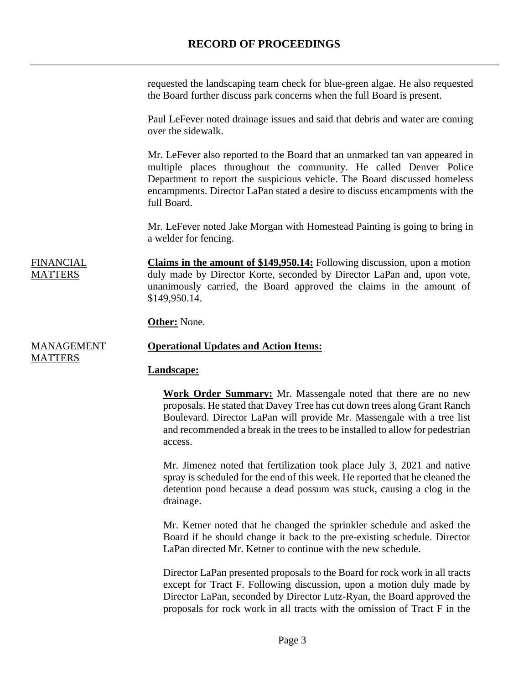requested the landscaping team check for blue-green algae. He also requested the Board further discuss park concerns when the full Board is present.

Paul LeFever noted drainage issues and said that debris and water are coming over the sidewalk.

Mr. LeFever also reported to the Board that an unmarked tan van appeared in multiple places throughout the community. He called Denver Police Department to report the suspicious vehicle. The Board discussed homeless encampments. Director LaPan stated a desire to discuss encampments with the full Board.

Mr. LeFever noted Jake Morgan with Homestead Painting is going to bring in a welder for fencing.

**FINANCIAL MATTERS Claims in the amount of \$149,950.14:** Following discussion, upon a motion duly made by Director Korte, seconded by Director LaPan and, upon vote, unanimously carried, the Board approved the claims in the amount of \$149,950.14.

**Other:** None.

#### MANAGEMENT **Operational Updates and Action Items:**

#### **Landscape:**

**Work Order Summary:** Mr. Massengale noted that there are no new proposals. He stated that Davey Tree has cut down trees along Grant Ranch Boulevard. Director LaPan will provide Mr. Massengale with a tree list and recommended a break in the trees to be installed to allow for pedestrian access.

Mr. Jimenez noted that fertilization took place July 3, 2021 and native spray is scheduled for the end of this week. He reported that he cleaned the detention pond because a dead possum was stuck, causing a clog in the drainage.

Mr. Ketner noted that he changed the sprinkler schedule and asked the Board if he should change it back to the pre-existing schedule. Director LaPan directed Mr. Ketner to continue with the new schedule.

Director LaPan presented proposals to the Board for rock work in all tracts except for Tract F. Following discussion, upon a motion duly made by Director LaPan, seconded by Director Lutz-Ryan, the Board approved the proposals for rock work in all tracts with the omission of Tract F in the

**MATTERS**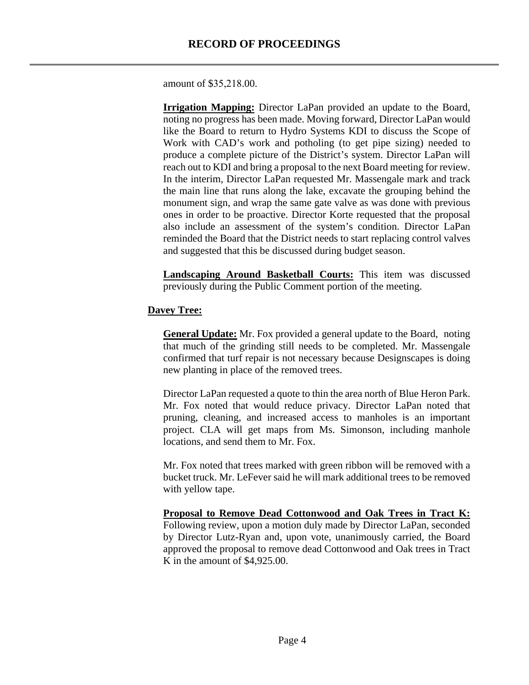amount of \$35,218.00.

**Irrigation Mapping:** Director LaPan provided an update to the Board, noting no progress has been made. Moving forward, Director LaPan would like the Board to return to Hydro Systems KDI to discuss the Scope of Work with CAD's work and potholing (to get pipe sizing) needed to produce a complete picture of the District's system. Director LaPan will reach out to KDI and bring a proposal to the next Board meeting for review. In the interim, Director LaPan requested Mr. Massengale mark and track the main line that runs along the lake, excavate the grouping behind the monument sign, and wrap the same gate valve as was done with previous ones in order to be proactive. Director Korte requested that the proposal also include an assessment of the system's condition. Director LaPan reminded the Board that the District needs to start replacing control valves and suggested that this be discussed during budget season.

**Landscaping Around Basketball Courts:** This item was discussed previously during the Public Comment portion of the meeting.

## **Davey Tree:**

**General Update:** Mr. Fox provided a general update to the Board, noting that much of the grinding still needs to be completed. Mr. Massengale confirmed that turf repair is not necessary because Designscapes is doing new planting in place of the removed trees.

Director LaPan requested a quote to thin the area north of Blue Heron Park. Mr. Fox noted that would reduce privacy. Director LaPan noted that pruning, cleaning, and increased access to manholes is an important project. CLA will get maps from Ms. Simonson, including manhole locations, and send them to Mr. Fox.

Mr. Fox noted that trees marked with green ribbon will be removed with a bucket truck. Mr. LeFever said he will mark additional trees to be removed with yellow tape.

**Proposal to Remove Dead Cottonwood and Oak Trees in Tract K:** Following review, upon a motion duly made by Director LaPan, seconded by Director Lutz-Ryan and, upon vote, unanimously carried, the Board approved the proposal to remove dead Cottonwood and Oak trees in Tract K in the amount of \$4,925.00.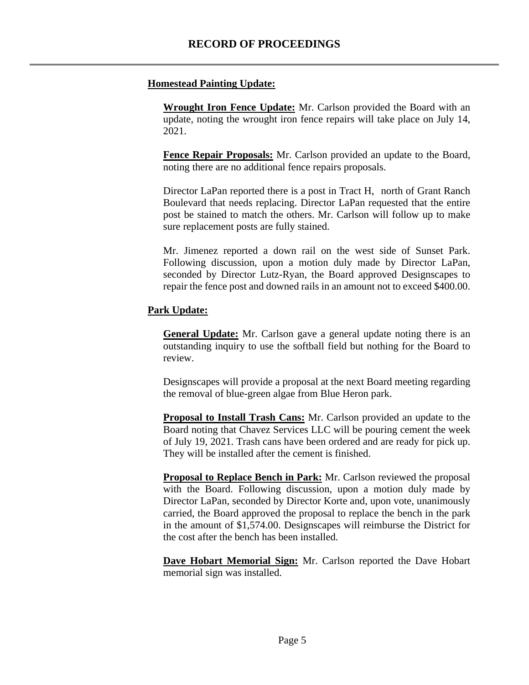## **Homestead Painting Update:**

**Wrought Iron Fence Update:** Mr. Carlson provided the Board with an update, noting the wrought iron fence repairs will take place on July 14, 2021.

**Fence Repair Proposals:** Mr. Carlson provided an update to the Board, noting there are no additional fence repairs proposals.

Director LaPan reported there is a post in Tract H, north of Grant Ranch Boulevard that needs replacing. Director LaPan requested that the entire post be stained to match the others. Mr. Carlson will follow up to make sure replacement posts are fully stained.

Mr. Jimenez reported a down rail on the west side of Sunset Park. Following discussion, upon a motion duly made by Director LaPan, seconded by Director Lutz-Ryan, the Board approved Designscapes to repair the fence post and downed rails in an amount not to exceed \$400.00.

## **Park Update:**

**General Update:** Mr. Carlson gave a general update noting there is an outstanding inquiry to use the softball field but nothing for the Board to review.

Designscapes will provide a proposal at the next Board meeting regarding the removal of blue-green algae from Blue Heron park.

**Proposal to Install Trash Cans:** Mr. Carlson provided an update to the Board noting that Chavez Services LLC will be pouring cement the week of July 19, 2021. Trash cans have been ordered and are ready for pick up. They will be installed after the cement is finished.

**Proposal to Replace Bench in Park:** Mr. Carlson reviewed the proposal with the Board. Following discussion, upon a motion duly made by Director LaPan, seconded by Director Korte and, upon vote, unanimously carried, the Board approved the proposal to replace the bench in the park in the amount of \$1,574.00. Designscapes will reimburse the District for the cost after the bench has been installed.

**Dave Hobart Memorial Sign:** Mr. Carlson reported the Dave Hobart memorial sign was installed.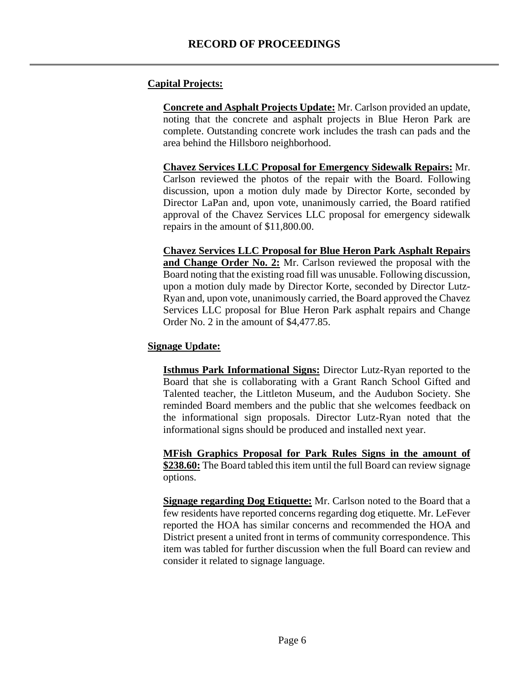#### **Capital Projects:**

**Concrete and Asphalt Projects Update:** Mr. Carlson provided an update, noting that the concrete and asphalt projects in Blue Heron Park are complete. Outstanding concrete work includes the trash can pads and the area behind the Hillsboro neighborhood.

**Chavez Services LLC Proposal for Emergency Sidewalk Repairs:** Mr. Carlson reviewed the photos of the repair with the Board. Following discussion, upon a motion duly made by Director Korte, seconded by Director LaPan and, upon vote, unanimously carried, the Board ratified approval of the Chavez Services LLC proposal for emergency sidewalk repairs in the amount of \$11,800.00.

**Chavez Services LLC Proposal for Blue Heron Park Asphalt Repairs**  and Change Order No. 2: Mr. Carlson reviewed the proposal with the Board noting that the existing road fill was unusable. Following discussion, upon a motion duly made by Director Korte, seconded by Director Lutz-Ryan and, upon vote, unanimously carried, the Board approved the Chavez Services LLC proposal for Blue Heron Park asphalt repairs and Change Order No. 2 in the amount of \$4,477.85.

#### **Signage Update:**

**Isthmus Park Informational Signs:** Director Lutz-Ryan reported to the Board that she is collaborating with a Grant Ranch School Gifted and Talented teacher, the Littleton Museum, and the Audubon Society. She reminded Board members and the public that she welcomes feedback on the informational sign proposals. Director Lutz-Ryan noted that the informational signs should be produced and installed next year.

**MFish Graphics Proposal for Park Rules Signs in the amount of \$238.60:** The Board tabled this item until the full Board can review signage options.

**Signage regarding Dog Etiquette:** Mr. Carlson noted to the Board that a few residents have reported concerns regarding dog etiquette. Mr. LeFever reported the HOA has similar concerns and recommended the HOA and District present a united front in terms of community correspondence. This item was tabled for further discussion when the full Board can review and consider it related to signage language.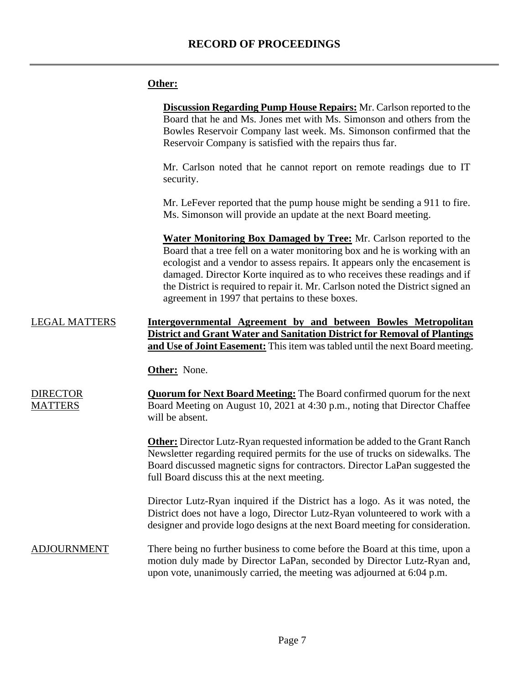# **Other:**

|                                   | <b>Discussion Regarding Pump House Repairs:</b> Mr. Carlson reported to the<br>Board that he and Ms. Jones met with Ms. Simonson and others from the<br>Bowles Reservoir Company last week. Ms. Simonson confirmed that the<br>Reservoir Company is satisfied with the repairs thus far.                                                                                                                                                                 |
|-----------------------------------|----------------------------------------------------------------------------------------------------------------------------------------------------------------------------------------------------------------------------------------------------------------------------------------------------------------------------------------------------------------------------------------------------------------------------------------------------------|
|                                   | Mr. Carlson noted that he cannot report on remote readings due to IT<br>security.                                                                                                                                                                                                                                                                                                                                                                        |
|                                   | Mr. LeFever reported that the pump house might be sending a 911 to fire.<br>Ms. Simonson will provide an update at the next Board meeting.                                                                                                                                                                                                                                                                                                               |
|                                   | <b>Water Monitoring Box Damaged by Tree:</b> Mr. Carlson reported to the<br>Board that a tree fell on a water monitoring box and he is working with an<br>ecologist and a vendor to assess repairs. It appears only the encasement is<br>damaged. Director Korte inquired as to who receives these readings and if<br>the District is required to repair it. Mr. Carlson noted the District signed an<br>agreement in 1997 that pertains to these boxes. |
| <b>LEGAL MATTERS</b>              | Intergovernmental Agreement by and between Bowles Metropolitan<br><b>District and Grant Water and Sanitation District for Removal of Plantings</b><br><b>and Use of Joint Easement:</b> This item was tabled until the next Board meeting.                                                                                                                                                                                                               |
|                                   | Other: None.                                                                                                                                                                                                                                                                                                                                                                                                                                             |
| <b>DIRECTOR</b><br><b>MATTERS</b> | <b>Quorum for Next Board Meeting:</b> The Board confirmed quorum for the next<br>Board Meeting on August 10, 2021 at 4:30 p.m., noting that Director Chaffee<br>will be absent.                                                                                                                                                                                                                                                                          |
|                                   | <b>Other:</b> Director Lutz-Ryan requested information be added to the Grant Ranch<br>Newsletter regarding required permits for the use of trucks on sidewalks. The<br>Board discussed magnetic signs for contractors. Director LaPan suggested the<br>full Board discuss this at the next meeting.                                                                                                                                                      |
|                                   | Director Lutz-Ryan inquired if the District has a logo. As it was noted, the<br>District does not have a logo, Director Lutz-Ryan volunteered to work with a<br>designer and provide logo designs at the next Board meeting for consideration.                                                                                                                                                                                                           |
| <b>ADJOURNMENT</b>                | There being no further business to come before the Board at this time, upon a<br>motion duly made by Director LaPan, seconded by Director Lutz-Ryan and,<br>upon vote, unanimously carried, the meeting was adjourned at 6:04 p.m.                                                                                                                                                                                                                       |